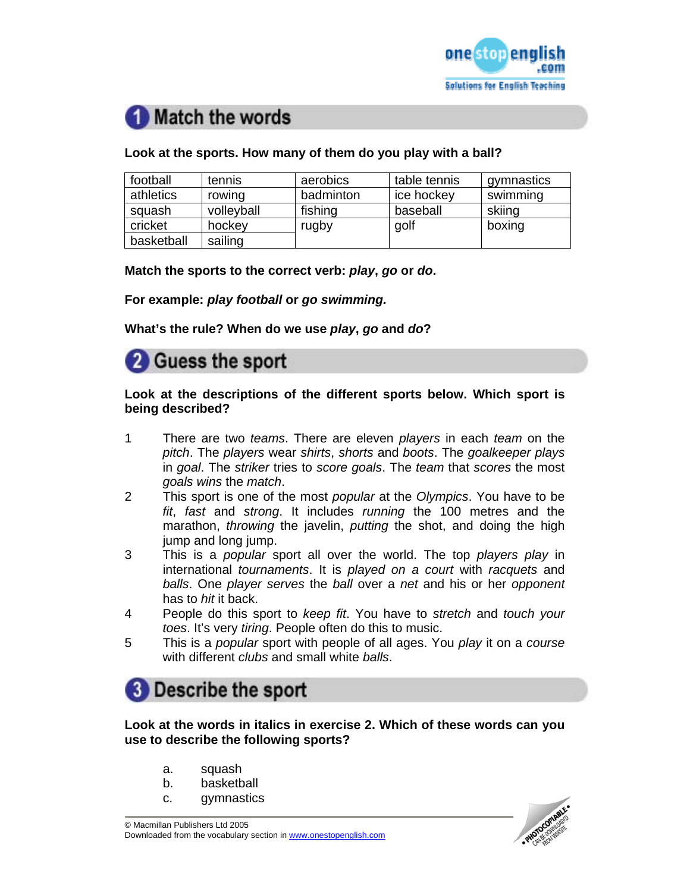

# Match the words

## **Look at the sports. How many of them do you play with a ball?**

| football   | tennis     | aerobics  | table tennis | gymnastics |
|------------|------------|-----------|--------------|------------|
| athletics  | rowing     | badminton | ice hockey   | swimming   |
| squash     | volleyball | fishing   | baseball     | skiing     |
| cricket    | hockey     | rugby     | golf         | boxing     |
| basketball | sailing    |           |              |            |

**Match the sports to the correct verb:** *play***,** *go* **or** *do***.** 

**For example:** *play football* **or** *go swimming.* 

**What's the rule? When do we use** *play***,** *go* **and** *do***?** 



## **Look at the descriptions of the different sports below. Which sport is being described?**

- 1 There are two *teams*. There are eleven *players* in each *team* on the *pitch*. The *players* wear *shirts*, *shorts* and *boots*. The *goalkeeper plays*  in *goal*. The *striker* tries to *score goals*. The *team* that *scores* the most *goals wins* the *match*.
- 2 This sport is one of the most *popular* at the *Olympics*. You have to be *fit*, *fast* and *strong*. It includes *running* the 100 metres and the marathon, *throwing* the javelin, *putting* the shot, and doing the high jump and long jump.
- 3 This is a *popular* sport all over the world. The top *players play* in international *tournaments*. It is *played on a court* with *racquets* and *balls*. One *player serves* the *ball* over a *net* and his or her *opponent*  has to *hit* it back.
- 4 People do this sport to *keep fit*. You have to *stretch* and *touch your toes*. It's very *tiring*. People often do this to music.
- 5 This is a *popular* sport with people of all ages. You *play* it on a *course*  with different *clubs* and small white *balls*.

## Describe the sport

### **Look at the words in italics in exercise 2. Which of these words can you use to describe the following sports?**

- a. squash
- b. basketball
- c. gymnastics

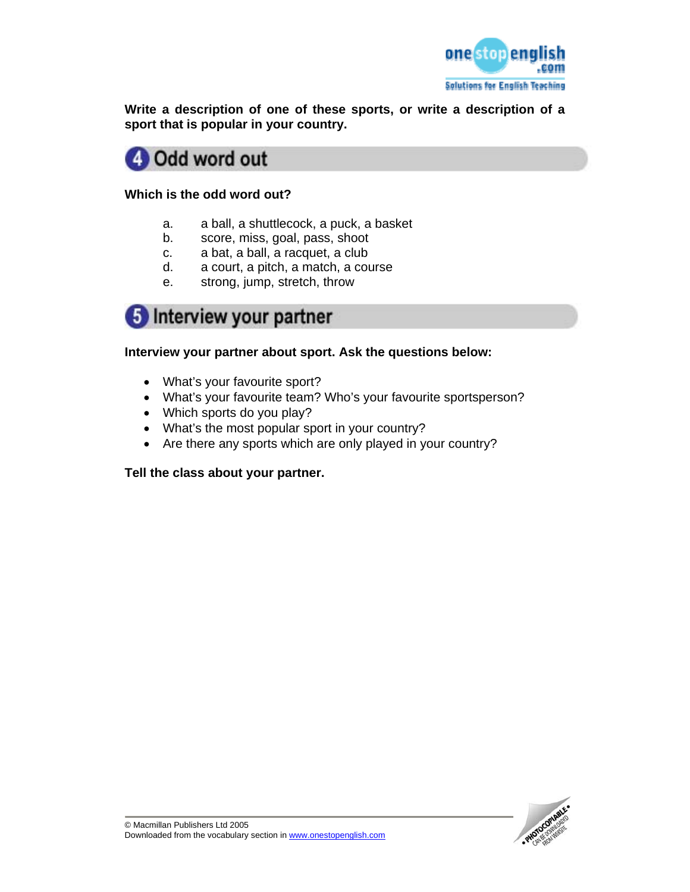

**Write a description of one of these sports, or write a description of a sport that is popular in your country.** 



## **Which is the odd word out?**

- a. a ball, a shuttlecock, a puck, a basket
- b. score, miss, goal, pass, shoot
- c. a bat, a ball, a racquet, a club
- d. a court, a pitch, a match, a course
- e. strong, jump, stretch, throw



## **Interview your partner about sport. Ask the questions below:**

- What's your favourite sport?
- What's your favourite team? Who's your favourite sportsperson?
- Which sports do you play?
- What's the most popular sport in your country?
- Are there any sports which are only played in your country?

## **Tell the class about your partner.**